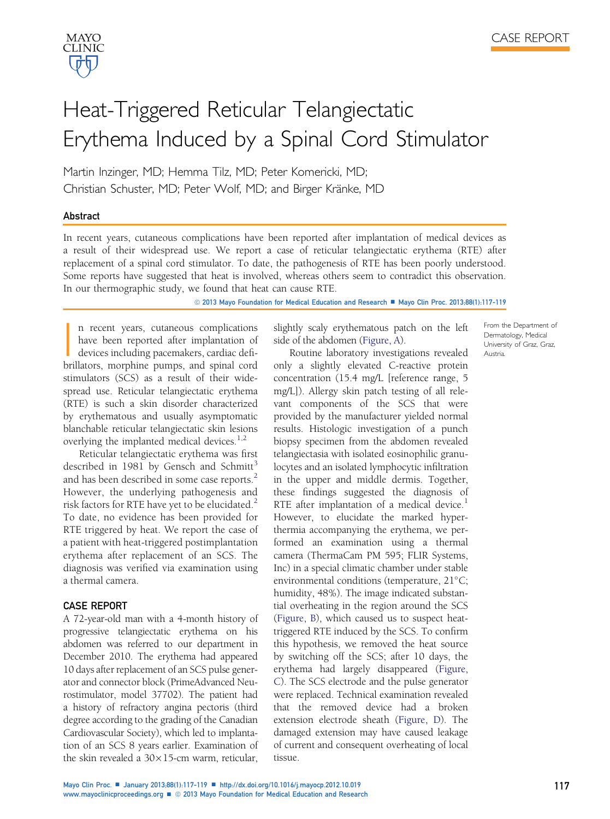From the Department of Dermatology, Medical University of Graz, Graz,

Austria.

Martin Inzinger, MD; Hemma Tilz, MD; Peter Komericki, MD; Christian Schuster, MD; Peter Wolf, MD; and Birger Kränke, MD

### Abstract

MAYO **CLINIC** 

In recent years, cutaneous complications have been reported after implantation of medical devices as a result of their widespread use. We report a case of reticular telangiectatic erythema (RTE) after replacement of a spinal cord stimulator. To date, the pathogenesis of RTE has been poorly understood. Some reports have suggested that heat is involved, whereas others seem to contradict this observation. In our thermographic study, we found that heat can cause RTE.

© 2013 Mayo Foundation for Medical Education and Research ■ Mayo Clin Proc. 2013;88(1):117-119

 $\left| \begin{array}{c} \hline \ \hline \ \hline \ \hline \end{array} \right|$ n recent years, cutaneous complications have been reported after implantation of devices including pacemakers, cardiac defibrillators, morphine pumps, and spinal cord stimulators (SCS) as a result of their widespread use. Reticular telangiectatic erythema (RTE) is such a skin disorder characterized by erythematous and usually asymptomatic blanchable reticular telangiectatic skin lesions overlying the implanted medical devices. $1,2$ 

Reticular telangiectatic erythema was first described in 1981 by Gensch and Schmitt<sup>[3](#page-2-0)</sup> and has been described in some case reports.<sup>[2](#page-2-0)</sup> However, the underlying pathogenesis and risk factors for RTE have yet to be elucidated. $2^2$  $2^2$ To date, no evidence has been provided for RTE triggered by heat. We report the case of a patient with heat-triggered postimplantation erythema after replacement of an SCS. The diagnosis was verified via examination using a thermal camera.

# CASE REPORT

A 72-year-old man with a 4-month history of progressive telangiectatic erythema on his abdomen was referred to our department in December 2010. The erythema had appeared 10 days after replacement of an SCS pulse generator and connector block (PrimeAdvanced Neurostimulator, model 37702). The patient had a history of refractory angina pectoris (third degree according to the grading of the Canadian Cardiovascular Society), which led to implantation of an SCS 8 years earlier. Examination of the skin revealed a  $30 \times 15$ -cm warm, reticular, slightly scaly erythematous patch on the left side of the abdomen ([Figure, A](#page-1-0)).

Routine laboratory investigations revealed only a slightly elevated C-reactive protein concentration (15.4 mg/L [reference range, 5 mg/L]). Allergy skin patch testing of all relevant components of the SCS that were provided by the manufacturer yielded normal results. Histologic investigation of a punch biopsy specimen from the abdomen revealed telangiectasia with isolated eosinophilic granulocytes and an isolated lymphocytic infiltration in the upper and middle dermis. Together, these findings suggested the diagnosis of RTE after implantation of a medical device.<sup>[1](#page-2-0)</sup> However, to elucidate the marked hyperthermia accompanying the erythema, we performed an examination using a thermal camera (ThermaCam PM 595; FLIR Systems, Inc) in a special climatic chamber under stable environmental conditions (temperature,  $21^{\circ}$ C; humidity, 48%). The image indicated substantial overheating in the region around the SCS ([Figure, B](#page-1-0)), which caused us to suspect heattriggered RTE induced by the SCS. To confirm this hypothesis, we removed the heat source by switching off the SCS; after 10 days, the erythema had largely disappeared ([Figure,](#page-1-0) [C\)](#page-1-0). The SCS electrode and the pulse generator were replaced. Technical examination revealed that the removed device had a broken extension electrode sheath [\(Figure, D](#page-1-0)). The damaged extension may have caused leakage of current and consequent overheating of local tissue.

Mayo Clin Proc. ■ January 2013;88(1):117-119 ■ <http://dx.doi.org/10.1016/j.mayocp.2012.10.019> [www.mayoclinicproceedings.org](http://www.mayoclinicproceedings.com)  $\blacksquare$  2013 Mayo Foundation for Medical Education and Research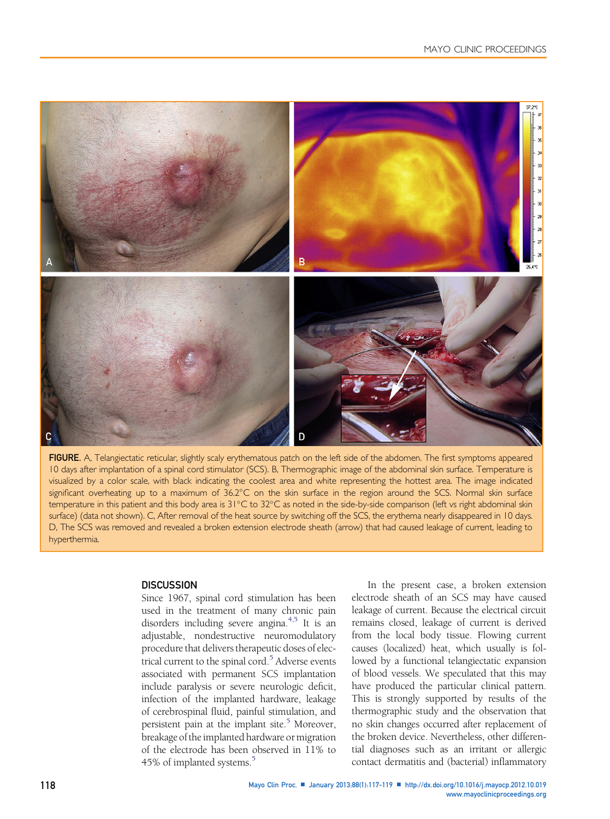<span id="page-1-0"></span>

FIGURE. A, Telangiectatic reticular, slightly scaly erythematous patch on the left side of the abdomen. The first symptoms appeared 10 days after implantation of a spinal cord stimulator (SCS). B, Thermographic image of the abdominal skin surface. Temperature is visualized by a color scale, with black indicating the coolest area and white representing the hottest area. The image indicated significant overheating up to a maximum of 36.2°C on the skin surface in the region around the SCS. Normal skin surface temperature in this patient and this body area is 31°C to 32°C as noted in the side-by-side comparison (left vs right abdominal skin surface) (data not shown). C, After removal of the heat source by switching off the SCS, the erythema nearly disappeared in 10 days. D, The SCS was removed and revealed a broken extension electrode sheath (arrow) that had caused leakage of current, leading to hyperthermia.

#### **DISCUSSION**

Since 1967, spinal cord stimulation has been used in the treatment of many chronic pain disorders including severe angina.<sup>4,5</sup> It is an adjustable, nondestructive neuromodulatory procedure that delivers therapeutic doses of electrical current to the spinal cord.<sup>5</sup> Adverse events associated with permanent SCS implantation include paralysis or severe neurologic deficit, infection of the implanted hardware, leakage of cerebrospinal fluid, painful stimulation, and persistent pain at the implant site. $5$  Moreover, breakage of the implanted hardware or migration of the electrode has been observed in 11% to 4[5](#page-2-0)% of implanted systems.<sup>5</sup>

In the present case, a broken extension electrode sheath of an SCS may have caused leakage of current. Because the electrical circuit remains closed, leakage of current is derived from the local body tissue. Flowing current causes (localized) heat, which usually is followed by a functional telangiectatic expansion of blood vessels. We speculated that this may have produced the particular clinical pattern. This is strongly supported by results of the thermographic study and the observation that no skin changes occurred after replacement of the broken device. Nevertheless, other differential diagnoses such as an irritant or allergic contact dermatitis and (bacterial) inflammatory